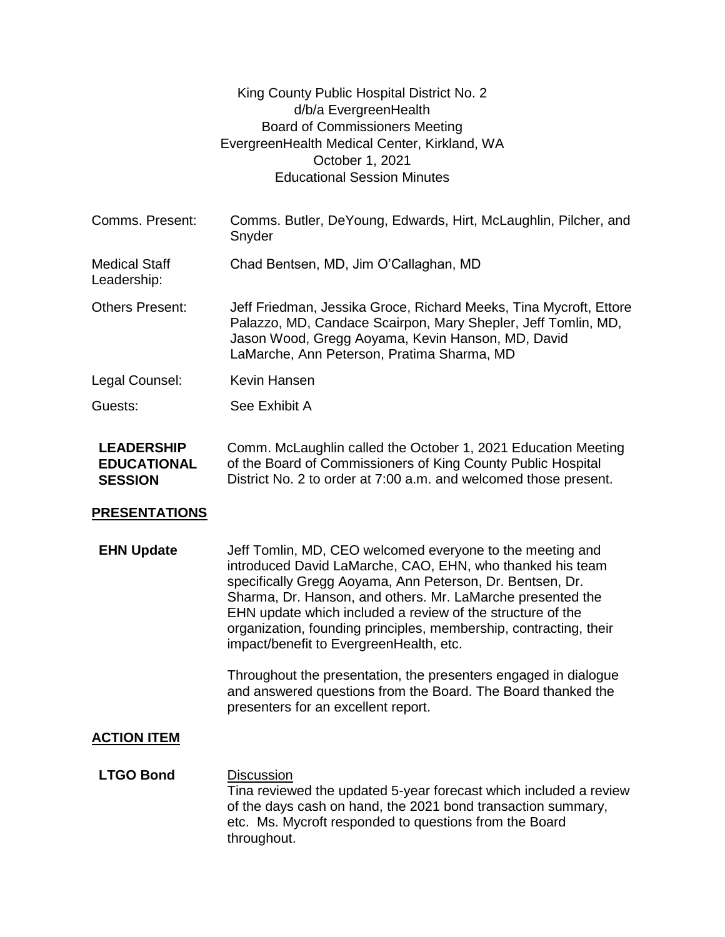|                                                           | King County Public Hospital District No. 2<br>d/b/a EvergreenHealth<br><b>Board of Commissioners Meeting</b><br>EvergreenHealth Medical Center, Kirkland, WA<br>October 1, 2021<br><b>Educational Session Minutes</b>                                                                                                                                                                                                                                                                              |
|-----------------------------------------------------------|----------------------------------------------------------------------------------------------------------------------------------------------------------------------------------------------------------------------------------------------------------------------------------------------------------------------------------------------------------------------------------------------------------------------------------------------------------------------------------------------------|
| Comms. Present:                                           | Comms. Butler, DeYoung, Edwards, Hirt, McLaughlin, Pilcher, and<br>Snyder                                                                                                                                                                                                                                                                                                                                                                                                                          |
| <b>Medical Staff</b><br>Leadership:                       | Chad Bentsen, MD, Jim O'Callaghan, MD                                                                                                                                                                                                                                                                                                                                                                                                                                                              |
| <b>Others Present:</b>                                    | Jeff Friedman, Jessika Groce, Richard Meeks, Tina Mycroft, Ettore<br>Palazzo, MD, Candace Scairpon, Mary Shepler, Jeff Tomlin, MD,<br>Jason Wood, Gregg Aoyama, Kevin Hanson, MD, David<br>LaMarche, Ann Peterson, Pratima Sharma, MD                                                                                                                                                                                                                                                              |
| Legal Counsel:                                            | <b>Kevin Hansen</b>                                                                                                                                                                                                                                                                                                                                                                                                                                                                                |
| Guests:                                                   | See Exhibit A                                                                                                                                                                                                                                                                                                                                                                                                                                                                                      |
| <b>LEADERSHIP</b><br><b>EDUCATIONAL</b><br><b>SESSION</b> | Comm. McLaughlin called the October 1, 2021 Education Meeting<br>of the Board of Commissioners of King County Public Hospital<br>District No. 2 to order at 7:00 a.m. and welcomed those present.                                                                                                                                                                                                                                                                                                  |
| <b>PRESENTATIONS</b>                                      |                                                                                                                                                                                                                                                                                                                                                                                                                                                                                                    |
| <b>EHN Update</b>                                         | Jeff Tomlin, MD, CEO welcomed everyone to the meeting and<br>introduced David LaMarche, CAO, EHN, who thanked his team<br>specifically Gregg Aoyama, Ann Peterson, Dr. Bentsen, Dr.<br>Sharma, Dr. Hanson, and others. Mr. LaMarche presented the<br>EHN update which included a review of the structure of the<br>organization, founding principles, membership, contracting, their<br>impact/benefit to EvergreenHealth, etc.<br>Throughout the presentation, the presenters engaged in dialogue |
|                                                           | and answered questions from the Board. The Board thanked the<br>presenters for an excellent report.                                                                                                                                                                                                                                                                                                                                                                                                |
| <b>ACTION ITEM</b>                                        |                                                                                                                                                                                                                                                                                                                                                                                                                                                                                                    |
| <b>LTGO Bond</b>                                          | <b>Discussion</b><br>Tina reviewed the updated 5-year forecast which included a review<br>of the days cash on hand, the 2021 bond transaction summary,<br>etc. Ms. Mycroft responded to questions from the Board<br>throughout.                                                                                                                                                                                                                                                                    |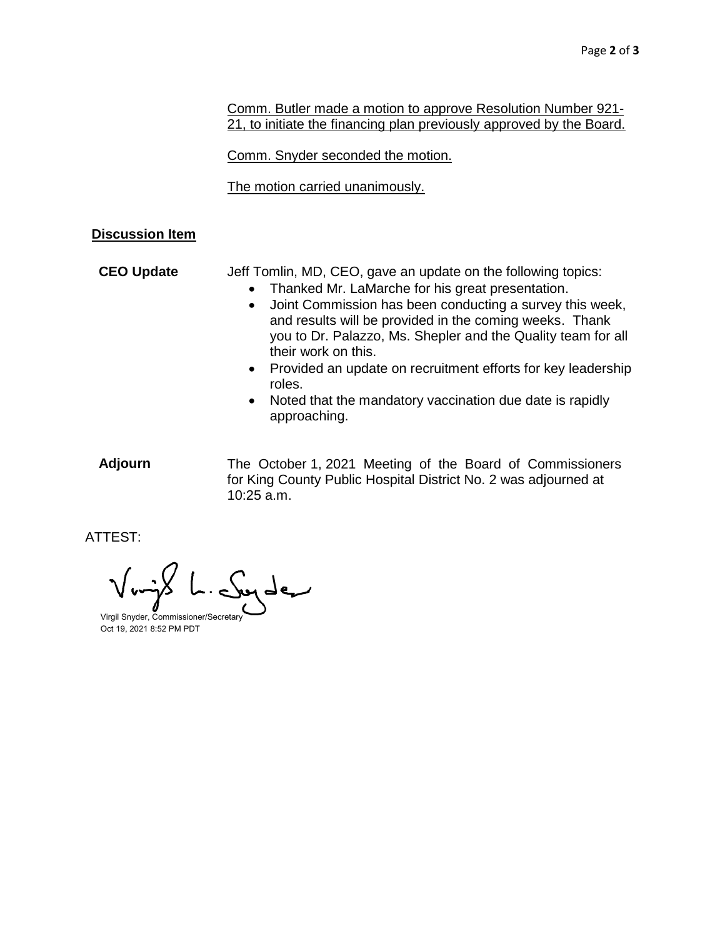Comm. Butler made a motion to approve Resolution Number 921- 21, to initiate the financing plan previously approved by the Board.

Comm. Snyder seconded the motion.

The motion carried unanimously.

## **Discussion Item**

**CEO Update** Jeff Tomlin, MD, CEO, gave an update on the following topics:

- Thanked Mr. LaMarche for his great presentation.
- Joint Commission has been conducting a survey this week, and results will be provided in the coming weeks. Thank you to Dr. Palazzo, Ms. Shepler and the Quality team for all their work on this.
- Provided an update on recruitment efforts for key leadership roles.
- Noted that the mandatory vaccination due date is rapidly approaching.
- **Adjourn** The October 1, 2021 Meeting of the Board of Commissioners for King County Public Hospital District No. 2 was adjourned at 10:25 a.m.

ATTEST:

ہم طور

Virgil Snyder, Commissioner/Secretary Oct 19, 2021 8:52 PM PDT